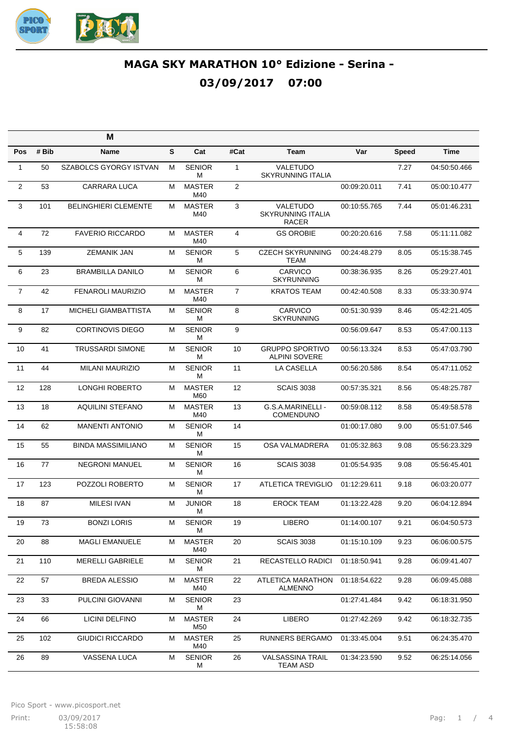

|                |       | M                             |   |                      |                   |                                                      |              |              |              |
|----------------|-------|-------------------------------|---|----------------------|-------------------|------------------------------------------------------|--------------|--------------|--------------|
| <b>Pos</b>     | # Bib | Name                          | S | Cat                  | #Cat              | Team                                                 | Var          | <b>Speed</b> | <b>Time</b>  |
| $\mathbf{1}$   | 50    | <b>SZABOLCS GYORGY ISTVAN</b> | M | <b>SENIOR</b><br>М   | $\mathbf{1}$      | VALETUDO<br><b>SKYRUNNING ITALIA</b>                 |              | 7.27         | 04:50:50.466 |
| $\overline{2}$ | 53    | <b>CARRARA LUCA</b>           | M | <b>MASTER</b><br>M40 | $\overline{2}$    |                                                      | 00:09:20.011 | 7.41         | 05:00:10.477 |
| 3              | 101   | <b>BELINGHIERI CLEMENTE</b>   | M | <b>MASTER</b><br>M40 | 3                 | VALETUDO<br><b>SKYRUNNING ITALIA</b><br><b>RACER</b> | 00:10:55.765 | 7.44         | 05:01:46.231 |
| 4              | 72    | <b>FAVERIO RICCARDO</b>       | M | <b>MASTER</b><br>M40 | 4                 | <b>GS OROBIE</b>                                     | 00:20:20.616 | 7.58         | 05:11:11.082 |
| 5              | 139   | <b>ZEMANIK JAN</b>            | M | <b>SENIOR</b><br>М   | 5                 | <b>CZECH SKYRUNNING</b><br>TEAM                      | 00:24:48.279 | 8.05         | 05:15:38.745 |
| 6              | 23    | <b>BRAMBILLA DANILO</b>       | M | <b>SENIOR</b><br>М   | 6                 | <b>CARVICO</b><br><b>SKYRUNNING</b>                  | 00:38:36.935 | 8.26         | 05:29:27.401 |
| $\overline{7}$ | 42    | <b>FENAROLI MAURIZIO</b>      | M | <b>MASTER</b><br>M40 | $\overline{7}$    | <b>KRATOS TEAM</b>                                   | 00:42:40.508 | 8.33         | 05:33:30.974 |
| 8              | 17    | <b>MICHELI GIAMBATTISTA</b>   | М | <b>SENIOR</b><br>М   | 8                 | <b>CARVICO</b><br><b>SKYRUNNING</b>                  | 00:51:30.939 | 8.46         | 05:42:21.405 |
| 9              | 82    | <b>CORTINOVIS DIEGO</b>       | м | <b>SENIOR</b><br>м   | 9                 |                                                      | 00:56:09.647 | 8.53         | 05:47:00.113 |
| 10             | 41    | <b>TRUSSARDI SIMONE</b>       | M | <b>SENIOR</b><br>М   | 10                | <b>GRUPPO SPORTIVO</b><br><b>ALPINI SOVERE</b>       | 00:56:13.324 | 8.53         | 05:47:03.790 |
| 11             | 44    | <b>MILANI MAURIZIO</b>        | М | <b>SENIOR</b><br>М   | 11                | LA CASELLA                                           | 00:56:20.586 | 8.54         | 05:47:11.052 |
| 12             | 128   | <b>LONGHI ROBERTO</b>         | M | <b>MASTER</b><br>M60 | $12 \overline{ }$ | <b>SCAIS 3038</b>                                    | 00:57:35.321 | 8.56         | 05:48:25.787 |
| 13             | 18    | <b>AQUILINI STEFANO</b>       | M | <b>MASTER</b><br>M40 | 13                | G.S.A.MARINELLI -<br>COMENDUNO                       | 00:59:08.112 | 8.58         | 05:49:58.578 |
| 14             | 62    | <b>MANENTI ANTONIO</b>        | М | <b>SENIOR</b><br>М   | 14                |                                                      | 01:00:17.080 | 9.00         | 05:51:07.546 |
| 15             | 55    | <b>BINDA MASSIMILIANO</b>     | м | <b>SENIOR</b><br>м   | 15                | <b>OSA VALMADRERA</b>                                | 01:05:32.863 | 9.08         | 05:56:23.329 |
| 16             | 77    | <b>NEGRONI MANUEL</b>         | M | <b>SENIOR</b><br>М   | 16                | <b>SCAIS 3038</b>                                    | 01:05:54.935 | 9.08         | 05:56:45.401 |
| 17             | 123   | POZZOLI ROBERTO               | М | <b>SENIOR</b><br>М   | 17                | <b>ATLETICA TREVIGLIO</b>                            | 01:12:29.611 | 9.18         | 06:03:20.077 |
| 18             | 87    | <b>MILESI IVAN</b>            | M | <b>JUNIOR</b><br>М   | 18                | <b>EROCK TEAM</b>                                    | 01:13:22.428 | 9.20         | 06:04:12.894 |
| 19             | 73    | <b>BONZI LORIS</b>            | M | <b>SENIOR</b><br>М   | 19                | <b>LIBERO</b>                                        | 01:14:00.107 | 9.21         | 06:04:50.573 |
| 20             | 88    | <b>MAGLI EMANUELE</b>         | M | <b>MASTER</b><br>M40 | 20                | <b>SCAIS 3038</b>                                    | 01:15:10.109 | 9.23         | 06:06:00.575 |
| 21             | 110   | <b>MERELLI GABRIELE</b>       | М | <b>SENIOR</b><br>М   | 21                | RECASTELLO RADICI                                    | 01:18:50.941 | 9.28         | 06:09:41.407 |
| 22             | 57    | <b>BREDA ALESSIO</b>          | M | <b>MASTER</b><br>M40 | 22                | ATLETICA MARATHON<br><b>ALMENNO</b>                  | 01:18:54.622 | 9.28         | 06:09:45.088 |
| 23             | 33    | PULCINI GIOVANNI              | M | <b>SENIOR</b><br>М   | 23                |                                                      | 01:27:41.484 | 9.42         | 06:18:31.950 |
| 24             | 66    | LICINI DELFINO                | M | <b>MASTER</b><br>M50 | 24                | <b>LIBERO</b>                                        | 01:27:42.269 | 9.42         | 06:18:32.735 |
| 25             | 102   | <b>GIUDICI RICCARDO</b>       | M | <b>MASTER</b><br>M40 | 25                | <b>RUNNERS BERGAMO</b>                               | 01:33:45.004 | 9.51         | 06:24:35.470 |
| 26             | 89    | VASSENA LUCA                  | M | <b>SENIOR</b><br>М   | 26                | <b>VALSASSINA TRAIL</b><br>TEAM ASD                  | 01:34:23.590 | 9.52         | 06:25:14.056 |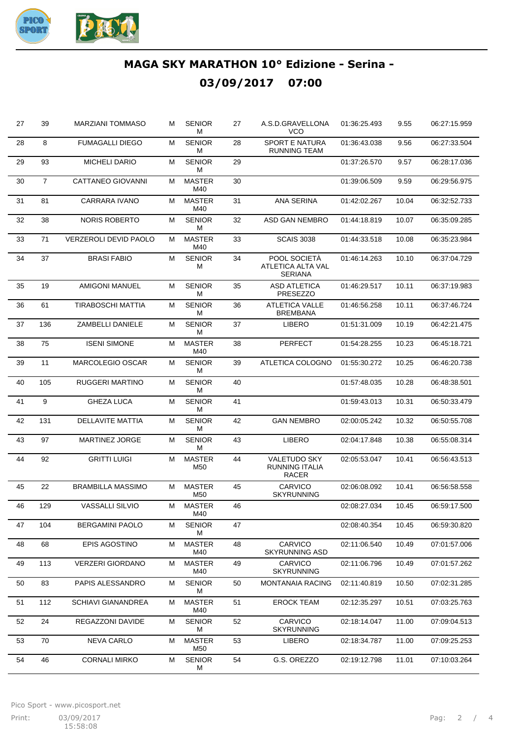

| 27 | 39             | <b>MARZIANI TOMMASO</b>   | м | <b>SENIOR</b><br>м   | 27 | A.S.D.GRAVELLONA<br>VCO                                      | 01:36:25.493 | 9.55  | 06:27:15.959 |
|----|----------------|---------------------------|---|----------------------|----|--------------------------------------------------------------|--------------|-------|--------------|
| 28 | 8              | <b>FUMAGALLI DIEGO</b>    | М | <b>SENIOR</b><br>М   | 28 | <b>SPORT E NATURA</b><br><b>RUNNING TEAM</b>                 | 01:36:43.038 | 9.56  | 06:27:33.504 |
| 29 | 93             | <b>MICHELI DARIO</b>      | М | <b>SENIOR</b><br>М   | 29 |                                                              | 01:37:26.570 | 9.57  | 06:28:17.036 |
| 30 | $\overline{7}$ | CATTANEO GIOVANNI         | М | <b>MASTER</b><br>M40 | 30 |                                                              | 01:39:06.509 | 9.59  | 06:29:56.975 |
| 31 | 81             | <b>CARRARA IVANO</b>      | м | <b>MASTER</b><br>M40 | 31 | <b>ANA SERINA</b>                                            | 01:42:02.267 | 10.04 | 06:32:52.733 |
| 32 | 38             | <b>NORIS ROBERTO</b>      | M | <b>SENIOR</b><br>М   | 32 | ASD GAN NEMBRO                                               | 01:44:18.819 | 10.07 | 06:35:09.285 |
| 33 | 71             | VERZEROLI DEVID PAOLO     | М | <b>MASTER</b><br>M40 | 33 | <b>SCAIS 3038</b>                                            | 01:44:33.518 | 10.08 | 06:35:23.984 |
| 34 | 37             | <b>BRASI FABIO</b>        | М | <b>SENIOR</b><br>M   | 34 | POOL SOCIETA<br>ATLETICA ALTA VAL<br><b>SERIANA</b>          | 01:46:14.263 | 10.10 | 06:37:04.729 |
| 35 | 19             | <b>AMIGONI MANUEL</b>     | М | <b>SENIOR</b><br>М   | 35 | <b>ASD ATLETICA</b><br><b>PRESEZZO</b>                       | 01:46:29.517 | 10.11 | 06:37:19.983 |
| 36 | 61             | TIRABOSCHI MATTIA         | М | <b>SENIOR</b><br>М   | 36 | <b>ATLETICA VALLE</b><br><b>BREMBANA</b>                     | 01:46:56.258 | 10.11 | 06:37:46.724 |
| 37 | 136            | <b>ZAMBELLI DANIELE</b>   | M | <b>SENIOR</b><br>М   | 37 | <b>LIBERO</b>                                                | 01:51:31.009 | 10.19 | 06:42:21.475 |
| 38 | 75             | <b>ISENI SIMONE</b>       | M | <b>MASTER</b><br>M40 | 38 | <b>PERFECT</b>                                               | 01:54:28.255 | 10.23 | 06:45:18.721 |
| 39 | 11             | <b>MARCOLEGIO OSCAR</b>   | М | <b>SENIOR</b><br>М   | 39 | ATLETICA COLOGNO                                             | 01:55:30.272 | 10.25 | 06:46:20.738 |
| 40 | 105            | <b>RUGGERI MARTINO</b>    | М | <b>SENIOR</b><br>М   | 40 |                                                              | 01:57:48.035 | 10.28 | 06:48:38.501 |
| 41 | 9              | <b>GHEZA LUCA</b>         | М | <b>SENIOR</b><br>М   | 41 |                                                              | 01:59:43.013 | 10.31 | 06:50:33.479 |
| 42 | 131            | <b>DELLAVITE MATTIA</b>   | М | <b>SENIOR</b><br>М   | 42 | <b>GAN NEMBRO</b>                                            | 02:00:05.242 | 10.32 | 06:50:55.708 |
| 43 | 97             | <b>MARTINEZ JORGE</b>     | М | <b>SENIOR</b><br>М   | 43 | <b>LIBERO</b>                                                | 02:04:17.848 | 10.38 | 06:55:08.314 |
| 44 | 92             | <b>GRITTI LUIGI</b>       | M | <b>MASTER</b><br>M50 | 44 | <b>VALETUDO SKY</b><br><b>RUNNING ITALIA</b><br><b>RACER</b> | 02:05:53.047 | 10.41 | 06:56:43.513 |
| 45 | 22             | <b>BRAMBILLA MASSIMO</b>  | M | <b>MASTER</b><br>M50 | 45 | CARVICO<br><b>SKYRUNNING</b>                                 | 02:06:08.092 | 10.41 | 06:56:58.558 |
| 46 | 129            | <b>VASSALLI SILVIO</b>    | м | <b>MASTER</b><br>M40 | 46 |                                                              | 02:08:27.034 | 10.45 | 06:59:17.500 |
| 47 | 104            | <b>BERGAMINI PAOLO</b>    | м | <b>SENIOR</b><br>М   | 47 |                                                              | 02:08:40.354 | 10.45 | 06:59:30.820 |
| 48 | 68             | EPIS AGOSTINO             | М | <b>MASTER</b><br>M40 | 48 | CARVICO<br><b>SKYRUNNING ASD</b>                             | 02:11:06.540 | 10.49 | 07:01:57.006 |
| 49 | 113            | <b>VERZERI GIORDANO</b>   | м | <b>MASTER</b><br>M40 | 49 | <b>CARVICO</b><br><b>SKYRUNNING</b>                          | 02:11:06.796 | 10.49 | 07:01:57.262 |
| 50 | 83             | PAPIS ALESSANDRO          | M | <b>SENIOR</b><br>м   | 50 | <b>MONTANAIA RACING</b>                                      | 02:11:40.819 | 10.50 | 07:02:31.285 |
| 51 | 112            | <b>SCHIAVI GIANANDREA</b> | M | <b>MASTER</b><br>M40 | 51 | <b>EROCK TEAM</b>                                            | 02:12:35.297 | 10.51 | 07:03:25.763 |
| 52 | 24             | REGAZZONI DAVIDE          | м | <b>SENIOR</b><br>М   | 52 | <b>CARVICO</b><br><b>SKYRUNNING</b>                          | 02:18:14.047 | 11.00 | 07:09:04.513 |
| 53 | 70             | <b>NEVA CARLO</b>         | М | <b>MASTER</b><br>M50 | 53 | LIBERO                                                       | 02:18:34.787 | 11.00 | 07:09:25.253 |
| 54 | 46             | <b>CORNALI MIRKO</b>      | М | <b>SENIOR</b><br>М   | 54 | G.S. OREZZO                                                  | 02:19:12.798 | 11.01 | 07:10:03.264 |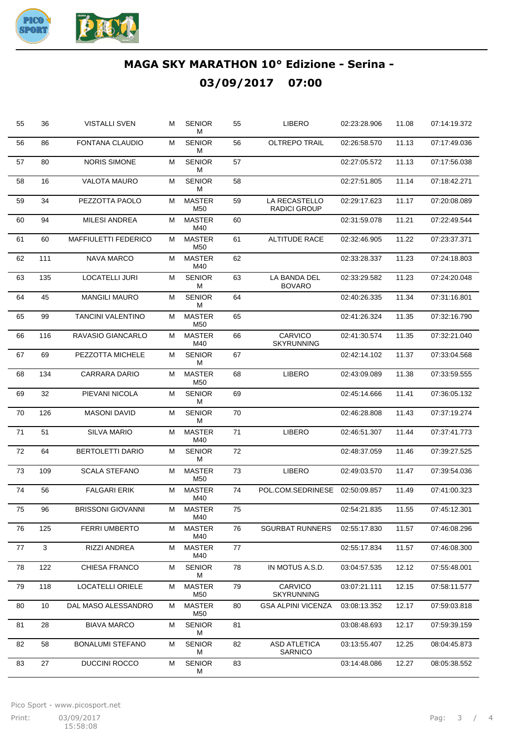

|    |     |                             |   | <b>SENIOR</b><br>М               | 55 | LIBERO                               | 02:23:28.906 | 11.08 | 07:14:19.372 |
|----|-----|-----------------------------|---|----------------------------------|----|--------------------------------------|--------------|-------|--------------|
| 56 | 86  | <b>FONTANA CLAUDIO</b>      | М | <b>SENIOR</b><br>М               | 56 | <b>OLTREPO TRAIL</b>                 | 02:26:58.570 | 11.13 | 07:17:49.036 |
| 57 | 80  | <b>NORIS SIMONE</b>         | М | <b>SENIOR</b><br>м               | 57 |                                      | 02:27:05.572 | 11.13 | 07:17:56.038 |
| 58 | 16  | <b>VALOTA MAURO</b>         | М | <b>SENIOR</b><br>м               | 58 |                                      | 02:27:51.805 | 11.14 | 07:18:42.271 |
| 59 | 34  | PEZZOTTA PAOLO              | М | <b>MASTER</b><br>M50             | 59 | LA RECASTELLO<br><b>RADICI GROUP</b> | 02:29:17.623 | 11.17 | 07:20:08.089 |
| 60 | 94  | <b>MILESI ANDREA</b>        | м | <b>MASTER</b><br>M40             | 60 |                                      | 02:31:59.078 | 11.21 | 07:22:49.544 |
| 61 | 60  | <b>MAFFIULETTI FEDERICO</b> | м | <b>MASTER</b><br>M50             | 61 | <b>ALTITUDE RACE</b>                 | 02:32:46.905 | 11.22 | 07:23:37.371 |
| 62 | 111 | NAVA MARCO                  | М | <b>MASTER</b><br>M40             | 62 |                                      | 02:33:28.337 | 11.23 | 07:24:18.803 |
| 63 | 135 | <b>LOCATELLI JURI</b>       | м | <b>SENIOR</b><br>М               | 63 | LA BANDA DEL<br><b>BOVARO</b>        | 02:33:29.582 | 11.23 | 07:24:20.048 |
| 64 | 45  | <b>MANGILI MAURO</b>        | М | <b>SENIOR</b><br>м               | 64 |                                      | 02:40:26.335 | 11.34 | 07:31:16.801 |
| 65 | 99  | <b>TANCINI VALENTINO</b>    | М | <b>MASTER</b><br>M50             | 65 |                                      | 02:41:26.324 | 11.35 | 07:32:16.790 |
| 66 | 116 | RAVASIO GIANCARLO           | м | <b>MASTER</b><br>M40             | 66 | CARVICO<br><b>SKYRUNNING</b>         | 02:41:30.574 | 11.35 | 07:32:21.040 |
| 67 | 69  | PEZZOTTA MICHELE            | м | <b>SENIOR</b><br>М               | 67 |                                      | 02:42:14.102 | 11.37 | 07:33:04.568 |
| 68 | 134 | CARRARA DARIO               | М | <b>MASTER</b><br>M <sub>50</sub> | 68 | LIBERO                               | 02:43:09.089 | 11.38 | 07:33:59.555 |
| 69 | 32  | PIEVANI NICOLA              | М | <b>SENIOR</b><br>м               | 69 |                                      | 02:45:14.666 | 11.41 | 07:36:05.132 |
| 70 | 126 | <b>MASONI DAVID</b>         | М | <b>SENIOR</b><br>м               | 70 |                                      | 02:46:28.808 | 11.43 | 07:37:19.274 |
| 71 | 51  | <b>SILVA MARIO</b>          | М | <b>MASTER</b><br>M40             | 71 | <b>LIBERO</b>                        | 02:46:51.307 | 11.44 | 07:37:41.773 |
| 72 | 64  | <b>BERTOLETTI DARIO</b>     | М | <b>SENIOR</b><br>М               | 72 |                                      | 02:48:37.059 | 11.46 | 07:39:27.525 |
| 73 | 109 | <b>SCALA STEFANO</b>        | м | <b>MASTER</b><br>M50             | 73 | <b>LIBERO</b>                        | 02:49:03.570 | 11.47 | 07:39:54.036 |
| 74 | 56  | <b>FALGARI ERIK</b>         | М | <b>MASTER</b><br>M40             | 74 | POL.COM.SEDRINESE                    | 02:50:09.857 | 11.49 | 07:41:00.323 |
| 75 | 96  | <b>BRISSONI GIOVANNI</b>    | м | MASTER<br>M40                    | 75 |                                      | 02:54:21.835 | 11.55 | 07:45:12.301 |
| 76 | 125 | <b>FERRI UMBERTO</b>        | М | <b>MASTER</b><br>M40             | 76 | <b>SGURBAT RUNNERS</b>               | 02:55:17.830 | 11.57 | 07:46:08.296 |
| 77 | 3   | RIZZI ANDREA                | М | <b>MASTER</b><br>M40             | 77 |                                      | 02:55:17.834 | 11.57 | 07:46:08.300 |
| 78 | 122 | CHIESA FRANCO               | М | <b>SENIOR</b><br>М               | 78 | IN MOTUS A.S.D.                      | 03:04:57.535 | 12.12 | 07:55:48.001 |
| 79 | 118 | <b>LOCATELLI ORIELE</b>     | М | <b>MASTER</b><br>M50             | 79 | <b>CARVICO</b><br><b>SKYRUNNING</b>  | 03:07:21.111 | 12.15 | 07:58:11.577 |
| 80 | 10  | DAL MASO ALESSANDRO         | М | <b>MASTER</b><br>M50             | 80 | <b>GSA ALPINI VICENZA</b>            | 03:08:13.352 | 12.17 | 07:59:03.818 |
| 81 | 28  | <b>BIAVA MARCO</b>          | М | <b>SENIOR</b><br>м               | 81 |                                      | 03:08:48.693 | 12.17 | 07:59:39.159 |
| 82 | 58  | <b>BONALUMI STEFANO</b>     | М | <b>SENIOR</b><br>м               | 82 | <b>ASD ATLETICA</b><br>SARNICO       | 03:13:55.407 | 12.25 | 08:04:45.873 |
| 83 | 27  | DUCCINI ROCCO               | М | <b>SENIOR</b><br>М               | 83 |                                      | 03:14:48.086 | 12.27 | 08:05:38.552 |